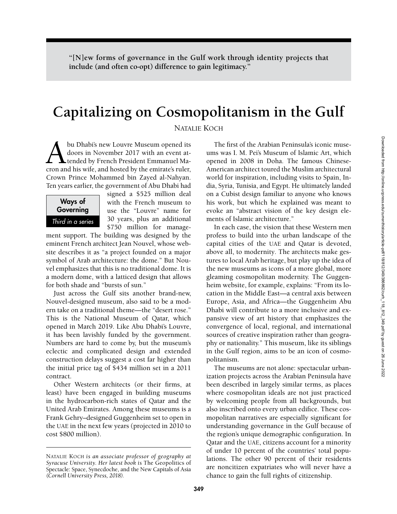**"[N]ew forms of governance in the Gulf work through identity projects that include (and often co-opt) difference to gain legitimacy."**

# **Capitalizing on Cosmopolitanism in the Gulf**

NATALIE KOCH

A bu Dhabi's new Louvre Museum opened its<br>doors in November 2017 with an event at-<br>cron and his wife and hosted by the emirate's ruler doors in November 2017 with an event attended by French President Emmanuel Macron and his wife, and hosted by the emirate's ruler, Crown Prince Mohammed bin Zayed al-Nahyan. Ten years earlier, the government of Abu Dhabi had



signed a \$525 million deal with the French museum to use the "Louvre" name for 30 years, plus an additional \$750 million for manage-

ment support. The building was designed by the eminent French architect Jean Nouvel, whose website describes it as "a project founded on a major symbol of Arab architecture: the dome." But Nouvel emphasizes that this is no traditional dome. It is a modern dome, with a latticed design that allows for both shade and "bursts of sun."

Just across the Gulf sits another brand-new, Nouvel-designed museum, also said to be a modern take on a traditional theme—the "desert rose." This is the National Museum of Qatar, which opened in March 2019. Like Abu Dhabi's Louvre, it has been lavishly funded by the government. Numbers are hard to come by, but the museum's eclectic and complicated design and extended construction delays suggest a cost far higher than the initial price tag of \$434 million set in a 2011 contract.

Other Western architects (or their firms, at least) have been engaged in building museums in the hydrocarbon-rich states of Qatar and the United Arab Emirates. Among these museums is a Frank Gehry–designed Guggenheim set to open in the UAE in the next few years (projected in 2010 to cost \$800 million).

The first of the Arabian Peninsula's iconic museums was I. M. Pei's Museum of Islamic Art, which opened in 2008 in Doha. The famous Chinese-American architect toured the Muslim architectural world for inspiration, including visits to Spain, India, Syria, Tunisia, and Egypt. He ultimately landed on a Cubist design familiar to anyone who knows his work, but which he explained was meant to evoke an "abstract vision of the key design elements of Islamic architecture."

In each case, the vision that these Western men profess to build into the urban landscape of the capital cities of the UAE and Qatar is devoted, above all, to modernity*.* The architects make gestures to local Arab heritage, but play up the idea of the new museums as icons of a more global, more gleaming cosmopolitan modernity. The Guggenheim website, for example, explains: "From its location in the Middle East—a central axis between Europe, Asia, and Africa—the Guggenheim Abu Dhabi will contribute to a more inclusive and expansive view of art history that emphasizes the convergence of local, regional, and international sources of creative inspiration rather than geography or nationality." This museum, like its siblings in the Gulf region, aims to be an icon of cosmopolitanism.

The museums are not alone: spectacular urbanization projects across the Arabian Peninsula have been described in largely similar terms, as places where cosmopolitan ideals are not just practiced by welcoming people from all backgrounds, but also inscribed onto every urban edifice. These cosmopolitan narratives are especially significant for understanding governance in the Gulf because of the region's unique demographic configuration. In Qatar and the UAE, citizens account for a minority of under 10 percent of the countries' total populations. The other 90 percent of their residents are noncitizen expatriates who will never have a chance to gain the full rights of citizenship.

NATALIE KOCH *is an associate professor of geography at Syracuse University. Her latest book is* The Geopolitics of Spectacle: Space, Synecdoche, and the New Capitals of Asia *(Cornell University Press, 2018).*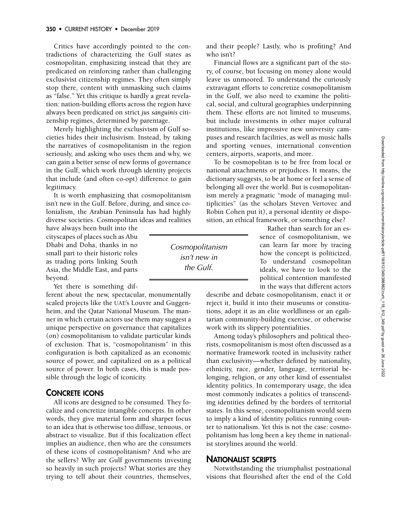Critics have accordingly pointed to the contradictions of characterizing the Gulf states as cosmopolitan, emphasizing instead that they are predicated on reinforcing rather than challenging exclusivist citizenship regimes. They often simply stop there, content with unmasking such claims as "false." Yet this critique is hardly a great revelation: nation-building efforts across the region have always been predicated on strict *jus sanguinis* citizenship regimes, determined by parentage.

Merely highlighting the exclusivism of Gulf societies hides their inclusivism. Instead, by taking the narratives of cosmopolitanism in the region seriously, and asking who uses them and why, we can gain a better sense of new forms of governance in the Gulf, which work through identity projects that include (and often co-opt) difference to gain legitimacy.

It is worth emphasizing that cosmopolitanism isn't new in the Gulf. Before, during, and since colonialism, the Arabian Peninsula has had highly diverse societies. Cosmopolitan ideas and realities

have always been built into the cityscapes of places such as Abu Dhabi and Doha, thanks in no small part to their historic roles as trading ports linking South Asia, the Middle East, and parts beyond.

Yet there is something dif-

ferent about the new, spectacular, monumentally scaled projects like the UAE's Louvre and Guggenheim, and the Qatar National Museum. The manner in which certain actors use them may suggest a unique perspective on governance that capitalizes (on) cosmopolitanism to validate particular kinds of exclusion. That is, "cosmopolitanism" in this configuration is both capitalized as an economic source of power, and capitalized on as a political source of power. In both cases, this is made possible through the logic of iconicity.

## CONCRETE ICONS

All icons are designed to be consumed*.* They focalize and concretize intangible concepts. In other words, they give material form and sharper focus to an idea that is otherwise too diffuse, tenuous, or abstract to visualize. But if this focalization effect implies an audience, then who are the consumers of these icons of cosmopolitanism? And who are the sellers? Why are Gulf governments investing so heavily in such projects? What stories are they trying to tell about their countries, themselves,

and their people? Lastly, who is profiting? And who isn't?

Financial flows are a significant part of the story, of course, but focusing on money alone would leave us unmoored. To understand the curiously extravagant efforts to concretize cosmopolitanism in the Gulf, we also need to examine the political, social, and cultural geographies underpinning them. These efforts are not limited to museums, but include investments in other major cultural institutions, like impressive new university campuses and research facilities, as well as music halls and sporting venues, international convention centers, airports, seaports, and more.

To be cosmopolitan is to be free from local or national attachments or prejudices. It means, the dictionary suggests, to be at home or feel a sense of belonging all over the world. But is cosmopolitanism merely a pragmatic "mode of managing multiplicities" (as the scholars Steven Vertovec and Robin Cohen put it), a personal identity or disposition, an ethical framework, or something else?

> Rather than search for an essence of cosmopolitanism, we can learn far more by tracing how the concept is politicized. To understand cosmopolitan ideals, we have to look to the political contention manifested in the ways that different actors

describe and debate cosmopolitanism, enact it or reject it, build it into their museums or constitutions, adopt it as an elite worldliness or an egalitarian community-building exercise, or otherwise work with its slippery potentialities.

Among today's philosophers and political theorists, cosmopolitanism is most often discussed as a normative framework rooted in inclusivity rather than exclusivity—whether defined by nationality, ethnicity, race, gender, language, territorial belonging, religion, or any other kind of essentialist identity politics. In contemporary usage, the idea most commonly indicates a politics of transcending identities defined by the borders of territorial states. In this sense, cosmopolitanism would seem to imply a kind of identity politics running counter to nationalism. Yet this is not the case: cosmopolitanism has long been a key theme in nationalist storylines around the world.

#### NATIONALIST SCRIPTS

Notwithstanding the triumphalist postnational visions that flourished after the end of the Cold

*Cosmopolitanism isn't new in the Gulf.*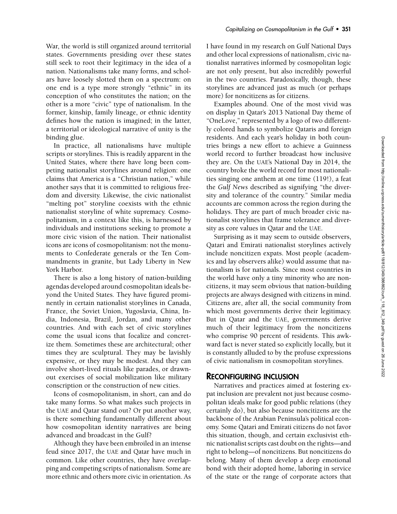War, the world is still organized around territorial states. Governments presiding over these states still seek to root their legitimacy in the idea of a nation. Nationalisms take many forms, and scholars have loosely slotted them on a spectrum: on one end is a type more strongly "ethnic" in its conception of who constitutes the nation; on the other is a more "civic" type of nationalism. In the former, kinship, family lineage, or ethnic identity defines how the nation is imagined; in the latter, a territorial or ideological narrative of unity is the binding glue.

In practice, all nationalisms have multiple scripts or storylines. This is readily apparent in the United States, where there have long been competing nationalist storylines around religion: one claims that America is a "Christian nation," while another says that it is committed to religious freedom and diversity. Likewise, the civic nationalist "melting pot" storyline coexists with the ethnic nationalist storyline of white supremacy. Cosmopolitanism, in a context like this, is harnessed by individuals and institutions seeking to promote a more civic vision of the nation. Their nationalist icons are icons of cosmopolitanism: not the monuments to Confederate generals or the Ten Commandments in granite, but Lady Liberty in New York Harbor.

There is also a long history of nation-building agendas developed around cosmopolitan ideals beyond the United States. They have figured prominently in certain nationalist storylines in Canada, France, the Soviet Union, Yugoslavia, China, India, Indonesia, Brazil, Jordan, and many other countries. And with each set of civic storylines come the usual icons that focalize and concretize them. Sometimes these are architectural; other times they are sculptural. They may be lavishly expensive, or they may be modest. And they can involve short-lived rituals like parades, or drawnout exercises of social mobilization like military conscription or the construction of new cities.

Icons of cosmopolitanism, in short, can and do take many forms. So what makes such projects in the UAE and Qatar stand out? Or put another way, is there something fundamentally different about how cosmopolitan identity narratives are being advanced and broadcast in the Gulf?

Although they have been embroiled in an intense feud since 2017, the UAE and Qatar have much in common. Like other countries, they have overlapping and competing scripts of nationalism. Some are more ethnic and others more civic in orientation. As I have found in my research on Gulf National Days and other local expressions of nationalism, civic nationalist narratives informed by cosmopolitan logic are not only present, but also incredibly powerful in the two countries. Paradoxically, though, these storylines are advanced just as much (or perhaps more) for noncitizens as for citizens.

Examples abound. One of the most vivid was on display in Qatar's 2013 National Day theme of "OneLove," represented by a logo of two differently colored hands to symbolize Qataris and foreign residents. And each year's holiday in both countries brings a new effort to achieve a Guinness world record to further broadcast how inclusive they are. On the UAE's National Day in 2014, the country broke the world record for most nationalities singing one anthem at one time (119!), a feat the *Gulf News* described as signifying "the diversity and tolerance of the country." Similar media accounts are common across the region during the holidays. They are part of much broader civic nationalist storylines that frame tolerance and diversity as core values in Qatar and the UAE.

Surprising as it may seem to outside observers, Qatari and Emirati nationalist storylines actively include noncitizen expats. Most people (academics and lay observers alike) would assume that nationalism is for nationals. Since most countries in the world have only a tiny minority who are noncitizens, it may seem obvious that nation-building projects are always designed with citizens in mind. Citizens are, after all, the social community from which most governments derive their legitimacy. But in Qatar and the UAE, governments derive much of their legitimacy from the noncitizens who comprise 90 percent of residents. This awkward fact is never stated so explicitly locally, but it is constantly alluded to by the profuse expressions of civic nationalism in cosmopolitan storylines.

### RECONFIGURING INCLUSION

Narratives and practices aimed at fostering expat inclusion are prevalent not just because cosmopolitan ideals make for good public relations (they certainly do), but also because noncitizens are the backbone of the Arabian Peninsula's political economy. Some Qatari and Emirati citizens do not favor this situation, though, and certain exclusivist ethnic nationalist scripts cast doubt on the rights—and right to belong—of noncitizens. But noncitizens do belong. Many of them develop a deep emotional bond with their adopted home, laboring in service of the state or the range of corporate actors that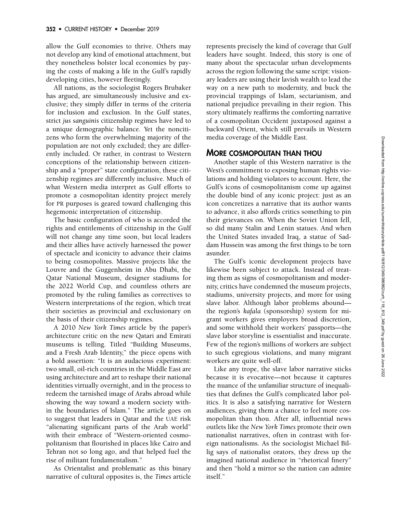allow the Gulf economies to thrive. Others may not develop any kind of emotional attachment, but they nonetheless bolster local economies by paying the costs of making a life in the Gulf's rapidly developing cities, however fleetingly.

All nations, as the sociologist Rogers Brubaker has argued, are simultaneously inclusive and exclusive; they simply differ in terms of the criteria for inclusion and exclusion. In the Gulf states, strict *jus sanguinis* citizenship regimes have led to a unique demographic balance. Yet the noncitizens who form the overwhelming majority of the population are not only excluded; they are differently included. Or rather, in contrast to Western conceptions of the relationship between citizenship and a "proper" state configuration, these citizenship regimes are differently inclusive. Much of what Western media interpret as Gulf efforts to promote a cosmopolitan identity project merely for PR purposes is geared toward challenging this hegemonic interpretation of citizenship.

The basic configuration of who is accorded the rights and entitlements of citizenship in the Gulf will not change any time soon, but local leaders and their allies have actively harnessed the power of spectacle and iconicity to advance their claims to being cosmopolites. Massive projects like the Louvre and the Guggenheim in Abu Dhabi, the Qatar National Museum, designer stadiums for the 2022 World Cup, and countless others are promoted by the ruling families as correctives to Western interpretations of the region, which treat their societies as provincial and exclusionary on the basis of their citizenship regimes.

A 2010 *New York Times* article by the paper's architecture critic on the new Qatari and Emirati museums is telling. Titled "Building Museums, and a Fresh Arab Identity," the piece opens with a bold assertion: "It is an audacious experiment: two small, oil-rich countries in the Middle East are using architecture and art to reshape their national identities virtually overnight, and in the process to redeem the tarnished image of Arabs abroad while showing the way toward a modern society within the boundaries of Islam." The article goes on to suggest that leaders in Qatar and the UAE risk "alienating significant parts of the Arab world" with their embrace of "Western-oriented cosmopolitanism that flourished in places like Cairo and Tehran not so long ago, and that helped fuel the rise of militant fundamentalism."

As Orientalist and problematic as this binary narrative of cultural opposites is, the *Times* article

represents precisely the kind of coverage that Gulf leaders have sought. Indeed, this story is one of many about the spectacular urban developments across the region following the same script: visionary leaders are using their lavish wealth to lead the way on a new path to modernity, and buck the provincial trappings of Islam, sectarianism, and national prejudice prevailing in their region. This story ultimately reaffirms the comforting narrative of a cosmopolitan Occident juxtaposed against a backward Orient, which still prevails in Western media coverage of the Middle East.

## MORE COSMOPOLITAN THAN THOU

Another staple of this Western narrative is the West's commitment to exposing human rights violations and holding violators to account. Here, the Gulf's icons of cosmopolitanism come up against the double bind of any iconic project: just as an icon concretizes a narrative that its author wants to advance, it also affords critics something to pin their grievances on. When the Soviet Union fell, so did many Stalin and Lenin statues. And when the United States invaded Iraq, a statue of Saddam Hussein was among the first things to be torn asunder.

The Gulf's iconic development projects have likewise been subject to attack. Instead of treating them as signs of cosmopolitanism and modernity, critics have condemned the museum projects, stadiums, university projects, and more for using slave labor. Although labor problems abound the region's *kafala* (sponsorship) system for migrant workers gives employers broad discretion, and some withhold their workers' passports—the slave labor storyline is essentialist and inaccurate. Few of the region's millions of workers are subject to such egregious violations, and many migrant workers are quite well-off.

Like any trope, the slave labor narrative sticks because it is evocative—not because it captures the nuance of the unfamiliar structure of inequalities that defines the Gulf's complicated labor politics. It is also a satisfying narrative for Western audiences, giving them a chance to feel more cosmopolitan than thou. After all, influential news outlets like the *New York Times* promote their own nationalist narratives, often in contrast with foreign nationalisms. As the sociologist Michael Billig says of nationalist orators, they dress up the imagined national audience in "rhetorical finery" and then "hold a mirror so the nation can admire itself."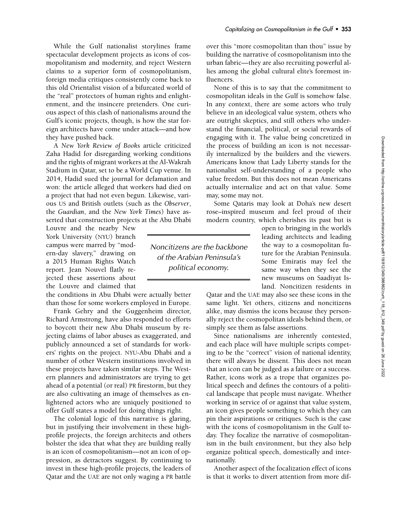While the Gulf nationalist storylines frame spectacular development projects as icons of cosmopolitanism and modernity, and reject Western claims to a superior form of cosmopolitanism, foreign media critiques consistently come back to this old Orientalist vision of a bifurcated world of the "real" protectors of human rights and enlightenment, and the insincere pretenders. One curious aspect of this clash of nationalisms around the Gulf's iconic projects, though, is how the star foreign architects have come under attack—and how they have pushed back.

A *New York Review of Books* article criticized Zaha Hadid for disregarding working conditions and the rights of migrant workers at the Al-Wakrah Stadium in Qatar, set to be a World Cup venue. In 2014, Hadid sued the journal for defamation and won: the article alleged that workers had died on a project that had not even begun. Likewise, various US and British outlets (such as the *Observer*, the *Guardian*, and the *New York Times*) have asserted that construction projects at the Abu Dhabi

Louvre and the nearby New York University (NYU) branch campus were marred by "modern-day slavery," drawing on a 2015 Human Rights Watch report. Jean Nouvel flatly rejected these assertions about the Louvre and claimed that

the conditions in Abu Dhabi were actually better than those for some workers employed in Europe.

Frank Gehry and the Guggenheim director, Richard Armstrong, have also responded to efforts to boycott their new Abu Dhabi museum by rejecting claims of labor abuses as exaggerated, and publicly announced a set of standards for workers' rights on the project. NYU-Abu Dhabi and a number of other Western institutions involved in these projects have taken similar steps. The Western planners and administrators are trying to get ahead of a potential (or real) PR firestorm, but they are also cultivating an image of themselves as enlightened actors who are uniquely positioned to offer Gulf states a model for doing things right.

The colonial logic of this narrative is glaring, but in justifying their involvement in these highprofile projects, the foreign architects and others bolster the idea that what they are building really is an icon of cosmopolitanism—not an icon of oppression, as detractors suggest. By continuing to invest in these high-profile projects, the leaders of Qatar and the UAE are not only waging a PR battle over this "more cosmopolitan than thou" issue by building the narrative of cosmopolitanism into the urban fabric—they are also recruiting powerful allies among the global cultural elite's foremost influencers.

None of this is to say that the commitment to cosmopolitan ideals in the Gulf is somehow false. In any context, there are some actors who truly believe in an ideological value system, others who are outright skeptics, and still others who understand the financial, political, or social rewards of engaging with it. The value being concretized in the process of building an icon is not necessarily internalized by the builders and the viewers. Americans know that Lady Liberty stands for the nationalist self-understanding of a people who value freedom. But this does not mean Americans actually internalize and act on that value. Some may, some may not.

Some Qataris may look at Doha's new desert rose–inspired museum and feel proud of their modern country, which cherishes its past but is

*Noncitizens are the backbone of the Arabian Peninsula's political economy.*

open to bringing in the world's leading architects and leading the way to a cosmopolitan future for the Arabian Peninsula. Some Emiratis may feel the same way when they see the new museums on Saadiyat Island. Noncitizen residents in

Qatar and the UAE may also see these icons in the same light. Yet others, citizens and noncitizens alike, may dismiss the icons because they personally reject the cosmopolitan ideals behind them, or simply see them as false assertions.

Since nationalisms are inherently contested, and each place will have multiple scripts competing to be the "correct" vision of national identity, there will always be dissent. This does not mean that an icon can be judged as a failure or a success. Rather, icons work as a trope that organizes political speech and defines the contours of a political landscape that people must navigate. Whether working in service of or against that value system, an icon gives people something to which they can pin their aspirations or critiques. Such is the case with the icons of cosmopolitanism in the Gulf today. They focalize the narrative of cosmopolitanism in the built environment, but they also help organize political speech, domestically and internationally.

Another aspect of the focalization effect of icons is that it works to divert attention from more dif-